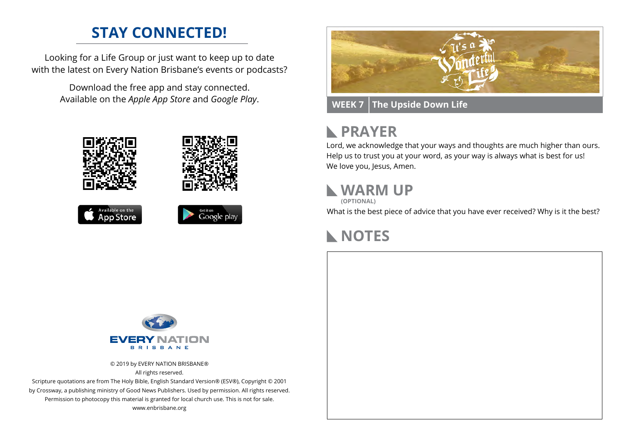### **STAY CONNECTED!**

Looking for a Life Group or just want to keep up to date with the latest on Every Nation Brisbane's events or podcasts?

> Download the free app and stay connected. Available on the *Apple App Store* and *Google Play*.











**WEEK 7 The Upside Down Life**

# **RAYER**

Lord, we acknowledge that your ways and thoughts are much higher than ours. Help us to trust you at your word, as your way is always what is best for us! We love you, Jesus, Amen.

## **WARM UP**

**(OPTIONAL)**

What is the best piece of advice that you have ever received? Why is it the best?

## **NOTES**



© 2019 by EVERY NATION BRISBANE® All rights reserved.

Scripture quotations are from The Holy Bible, English Standard Version® (ESV®), Copyright © 2001 by Crossway, a publishing ministry of Good News Publishers. Used by permission. All rights reserved. Permission to photocopy this material is granted for local church use. This is not for sale. www.enbrisbane.org